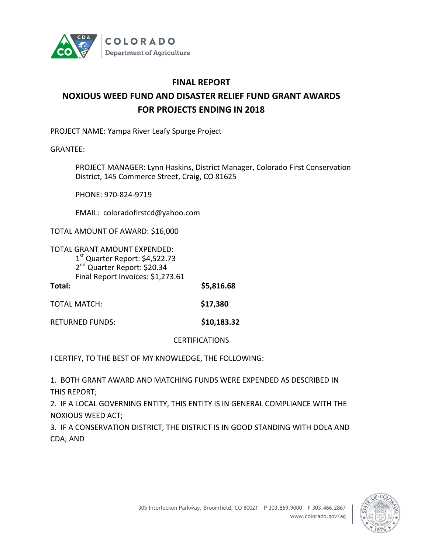

## **FINAL REPORT**

# **NOXIOUS WEED FUND AND DISASTER RELIEF FUND GRANT AWARDS FOR PROJECTS ENDING IN 2018**

PROJECT NAME: Yampa River Leafy Spurge Project

GRANTEE:

PROJECT MANAGER: Lynn Haskins, District Manager, Colorado First Conservation District, 145 Commerce Street, Craig, CO 81625

PHONE: 970-824-9719

EMAIL: coloradofirstcd@yahoo.com

TOTAL AMOUNT OF AWARD: \$16,000

TOTAL GRANT AMOUNT EXPENDED: 1<sup>st</sup> Quarter Report: \$4,522.73 2<sup>nd</sup> Quarter Report: \$20.34 Final Report Invoices: \$1,273.61 **Total: \$5,816.68**

TOTAL MATCH: **\$17,380**

RETURNED FUNDS: **\$10,183.32**

### **CERTIFICATIONS**

I CERTIFY, TO THE BEST OF MY KNOWLEDGE, THE FOLLOWING:

1. BOTH GRANT AWARD AND MATCHING FUNDS WERE EXPENDED AS DESCRIBED IN THIS REPORT;

2. IF A LOCAL GOVERNING ENTITY, THIS ENTITY IS IN GENERAL COMPLIANCE WITH THE NOXIOUS WEED ACT;

3. IF A CONSERVATION DISTRICT, THE DISTRICT IS IN GOOD STANDING WITH DOLA AND CDA; AND

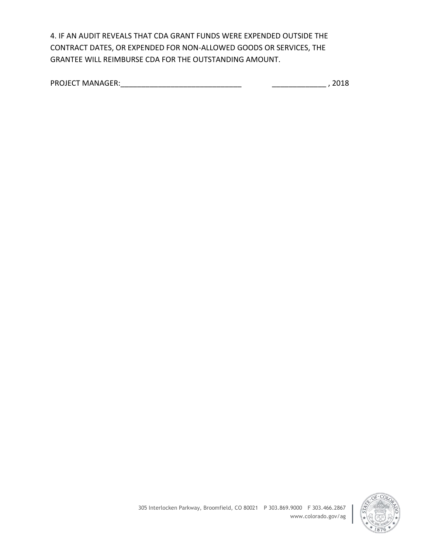4. IF AN AUDIT REVEALS THAT CDA GRANT FUNDS WERE EXPENDED OUTSIDE THE CONTRACT DATES, OR EXPENDED FOR NON-ALLOWED GOODS OR SERVICES, THE GRANTEE WILL REIMBURSE CDA FOR THE OUTSTANDING AMOUNT.

| <b>PROJECT MANAGER:</b> |  |
|-------------------------|--|
|-------------------------|--|

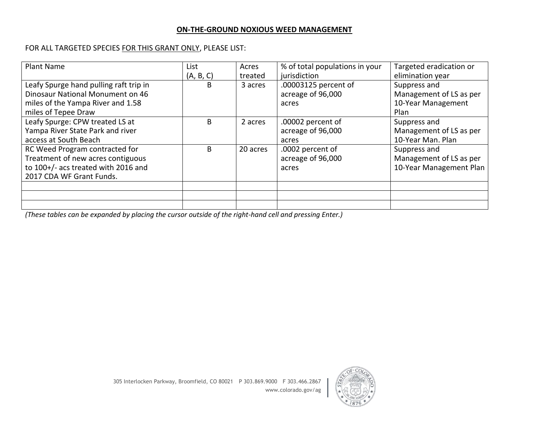### **ON-THE-GROUND NOXIOUS WEED MANAGEMENT**

## FOR ALL TARGETED SPECIES FOR THIS GRANT ONLY, PLEASE LIST:

| <b>Plant Name</b>                                                                                                                      | List<br>(A, B, C) | Acres<br>treated | % of total populations in your<br>jurisdiction     | Targeted eradication or<br>elimination year                           |
|----------------------------------------------------------------------------------------------------------------------------------------|-------------------|------------------|----------------------------------------------------|-----------------------------------------------------------------------|
| Leafy Spurge hand pulling raft trip in<br>Dinosaur National Monument on 46<br>miles of the Yampa River and 1.58<br>miles of Tepee Draw | B                 | 3 acres          | .00003125 percent of<br>acreage of 96,000<br>acres | Suppress and<br>Management of LS as per<br>10-Year Management<br>Plan |
| Leafy Spurge: CPW treated LS at<br>Yampa River State Park and river<br>access at South Beach                                           | B                 | 2 acres          | .00002 percent of<br>acreage of 96,000<br>acres    | Suppress and<br>Management of LS as per<br>10-Year Man. Plan          |
| RC Weed Program contracted for<br>Treatment of new acres contiguous<br>to 100+/- acs treated with 2016 and<br>2017 CDA WF Grant Funds. | B                 | 20 acres         | .0002 percent of<br>acreage of 96,000<br>acres     | Suppress and<br>Management of LS as per<br>10-Year Management Plan    |
|                                                                                                                                        |                   |                  |                                                    |                                                                       |

*(These tables can be expanded by placing the cursor outside of the right-hand cell and pressing Enter.)*

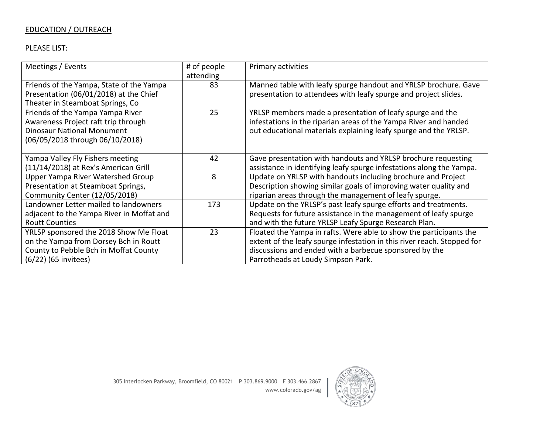## EDUCATION / OUTREACH

## PLEASE LIST:

| Meetings / Events                                                                                                                                | # of people<br>attending | Primary activities                                                                                                                                                                                                                            |
|--------------------------------------------------------------------------------------------------------------------------------------------------|--------------------------|-----------------------------------------------------------------------------------------------------------------------------------------------------------------------------------------------------------------------------------------------|
| Friends of the Yampa, State of the Yampa<br>Presentation (06/01/2018) at the Chief<br>Theater in Steamboat Springs, Co                           | 83                       | Manned table with leafy spurge handout and YRLSP brochure. Gave<br>presentation to attendees with leafy spurge and project slides.                                                                                                            |
| Friends of the Yampa Yampa River<br>Awareness Project raft trip through<br><b>Dinosaur National Monument</b><br>(06/05/2018 through 06/10/2018)  | 25                       | YRLSP members made a presentation of leafy spurge and the<br>infestations in the riparian areas of the Yampa River and handed<br>out educational materials explaining leafy spurge and the YRLSP.                                             |
| Yampa Valley Fly Fishers meeting<br>(11/14/2018) at Rex's American Grill                                                                         | 42                       | Gave presentation with handouts and YRLSP brochure requesting<br>assistance in identifying leafy spurge infestations along the Yampa.                                                                                                         |
| Upper Yampa River Watershed Group<br>Presentation at Steamboat Springs,<br>Community Center (12/05/2018)                                         | 8                        | Update on YRLSP with handouts including brochure and Project<br>Description showing similar goals of improving water quality and<br>riparian areas through the management of leafy spurge.                                                    |
| Landowner Letter mailed to landowners<br>adjacent to the Yampa River in Moffat and<br><b>Routt Counties</b>                                      | 173                      | Update on the YRLSP's past leafy spurge efforts and treatments.<br>Requests for future assistance in the management of leafy spurge<br>and with the future YRLSP Leafy Spurge Research Plan.                                                  |
| YRLSP sponsored the 2018 Show Me Float<br>on the Yampa from Dorsey Bch in Routt<br>County to Pebble Bch in Moffat County<br>(6/22) (65 invitees) | 23                       | Floated the Yampa in rafts. Were able to show the participants the<br>extent of the leafy spurge infestation in this river reach. Stopped for<br>discussions and ended with a barbecue sponsored by the<br>Parrotheads at Loudy Simpson Park. |

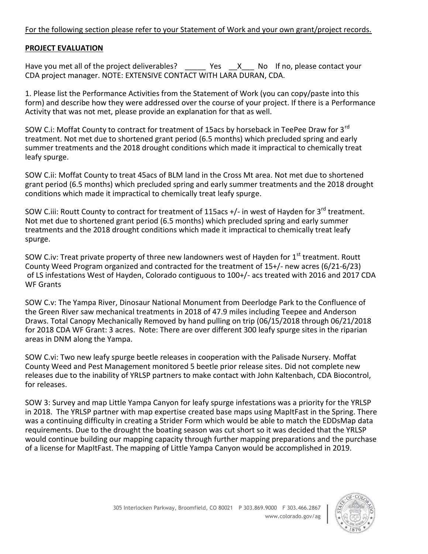For the following section please refer to your Statement of Work and your own grant/project records.

## **PROJECT EVALUATION**

Have you met all of the project deliverables? The Seault of the Molds of the please contact your CDA project manager. NOTE: EXTENSIVE CONTACT WITH LARA DURAN, CDA.

1. Please list the Performance Activities from the Statement of Work (you can copy/paste into this form) and describe how they were addressed over the course of your project. If there is a Performance Activity that was not met, please provide an explanation for that as well.

SOW C.i: Moffat County to contract for treatment of 15acs by horseback in TeePee Draw for 3<sup>rd</sup> treatment. Not met due to shortened grant period (6.5 months) which precluded spring and early summer treatments and the 2018 drought conditions which made it impractical to chemically treat leafy spurge.

SOW C.ii: Moffat County to treat 45acs of BLM land in the Cross Mt area. Not met due to shortened grant period (6.5 months) which precluded spring and early summer treatments and the 2018 drought conditions which made it impractical to chemically treat leafy spurge.

SOW C.iii: Routt County to contract for treatment of 115acs +/- in west of Hayden for 3<sup>rd</sup> treatment. Not met due to shortened grant period (6.5 months) which precluded spring and early summer treatments and the 2018 drought conditions which made it impractical to chemically treat leafy spurge.

SOW C.iv: Treat private property of three new landowners west of Hayden for 1<sup>st</sup> treatment. Routt County Weed Program organized and contracted for the treatment of 15+/- new acres (6/21-6/23) of LS infestations West of Hayden, Colorado contiguous to 100+/- acs treated with 2016 and 2017 CDA WF Grants

SOW C.v: The Yampa River, Dinosaur National Monument from Deerlodge Park to the Confluence of the Green River saw mechanical treatments in 2018 of 47.9 miles including Teepee and Anderson Draws. Total Canopy Mechanically Removed by hand pulling on trip (06/15/2018 through 06/21/2018 for 2018 CDA WF Grant: 3 acres. Note: There are over different 300 leafy spurge sites in the riparian areas in DNM along the Yampa.

SOW C.vi: Two new leafy spurge beetle releases in cooperation with the Palisade Nursery. Moffat County Weed and Pest Management monitored 5 beetle prior release sites. Did not complete new releases due to the inability of YRLSP partners to make contact with John Kaltenbach, CDA Biocontrol, for releases.

SOW 3: Survey and map Little Yampa Canyon for leafy spurge infestations was a priority for the YRLSP in 2018. The YRLSP partner with map expertise created base maps using MapItFast in the Spring. There was a continuing difficulty in creating a Strider Form which would be able to match the EDDsMap data requirements. Due to the drought the boating season was cut short so it was decided that the YRLSP would continue building our mapping capacity through further mapping preparations and the purchase of a license for MapItFast. The mapping of Little Yampa Canyon would be accomplished in 2019.

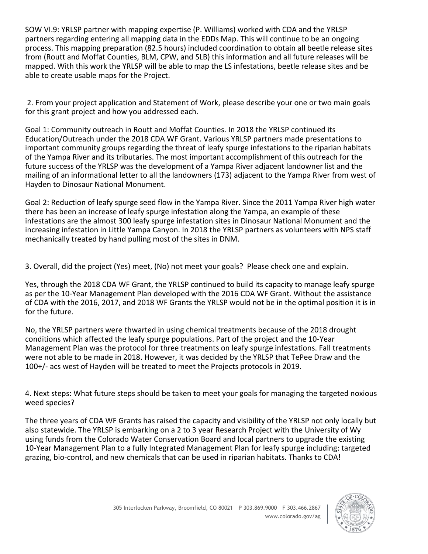SOW VI.9: YRLSP partner with mapping expertise (P. Williams) worked with CDA and the YRLSP partners regarding entering all mapping data in the EDDs Map. This will continue to be an ongoing process. This mapping preparation (82.5 hours) included coordination to obtain all beetle release sites from (Routt and Moffat Counties, BLM, CPW, and SLB) this information and all future releases will be mapped. With this work the YRLSP will be able to map the LS infestations, beetle release sites and be able to create usable maps for the Project.

2. From your project application and Statement of Work, please describe your one or two main goals for this grant project and how you addressed each.

Goal 1: Community outreach in Routt and Moffat Counties. In 2018 the YRLSP continued its Education/Outreach under the 2018 CDA WF Grant. Various YRLSP partners made presentations to important community groups regarding the threat of leafy spurge infestations to the riparian habitats of the Yampa River and its tributaries. The most important accomplishment of this outreach for the future success of the YRLSP was the development of a Yampa River adjacent landowner list and the mailing of an informational letter to all the landowners (173) adjacent to the Yampa River from west of Hayden to Dinosaur National Monument.

Goal 2: Reduction of leafy spurge seed flow in the Yampa River. Since the 2011 Yampa River high water there has been an increase of leafy spurge infestation along the Yampa, an example of these infestations are the almost 300 leafy spurge infestation sites in Dinosaur National Monument and the increasing infestation in Little Yampa Canyon. In 2018 the YRLSP partners as volunteers with NPS staff mechanically treated by hand pulling most of the sites in DNM.

3. Overall, did the project (Yes) meet, (No) not meet your goals? Please check one and explain.

Yes, through the 2018 CDA WF Grant, the YRLSP continued to build its capacity to manage leafy spurge as per the 10-Year Management Plan developed with the 2016 CDA WF Grant. Without the assistance of CDA with the 2016, 2017, and 2018 WF Grants the YRLSP would not be in the optimal position it is in for the future.

No, the YRLSP partners were thwarted in using chemical treatments because of the 2018 drought conditions which affected the leafy spurge populations. Part of the project and the 10-Year Management Plan was the protocol for three treatments on leafy spurge infestations. Fall treatments were not able to be made in 2018. However, it was decided by the YRLSP that TePee Draw and the 100+/- acs west of Hayden will be treated to meet the Projects protocols in 2019.

4. Next steps: What future steps should be taken to meet your goals for managing the targeted noxious weed species?

The three years of CDA WF Grants has raised the capacity and visibility of the YRLSP not only locally but also statewide. The YRLSP is embarking on a 2 to 3 year Research Project with the University of Wy using funds from the Colorado Water Conservation Board and local partners to upgrade the existing 10-Year Management Plan to a fully Integrated Management Plan for leafy spurge including: targeted grazing, bio-control, and new chemicals that can be used in riparian habitats. Thanks to CDA!

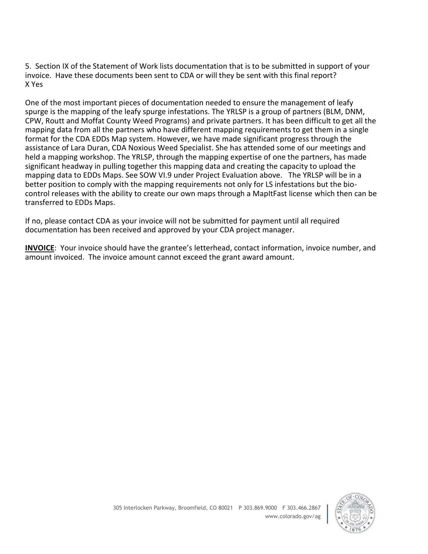5. Section IX of the Statement of Work lists documentation that is to be submitted in support of your invoice. Have these documents been sent to CDA or will they be sent with this final report? X Yes

One of the most important pieces of documentation needed to ensure the management of leafy spurge is the mapping of the leafy spurge infestations. The YRLSP is a group of partners (BLM, DNM, CPW, Routt and Moffat County Weed Programs) and private partners. It has been difficult to get all the mapping data from all the partners who have different mapping requirements to get them in a single format for the CDA EDDs Map system. However, we have made significant progress through the assistance of Lara Duran, CDA Noxious Weed Specialist. She has attended some of our meetings and held a mapping workshop. The YRLSP, through the mapping expertise of one the partners, has made significant headway in pulling together this mapping data and creating the capacity to upload the mapping data to EDDs Maps. See SOW VI.9 under Project Evaluation above. The YRLSP will be in a better position to comply with the mapping requirements not only for LS infestations but the biocontrol releases with the ability to create our own maps through a MapItFast license which then can be transferred to EDDs Maps.

If no, please contact CDA as your invoice will not be submitted for payment until all required documentation has been received and approved by your CDA project manager.

**INVOICE**: Your invoice should have the grantee's letterhead, contact information, invoice number, and amount invoiced. The invoice amount cannot exceed the grant award amount.